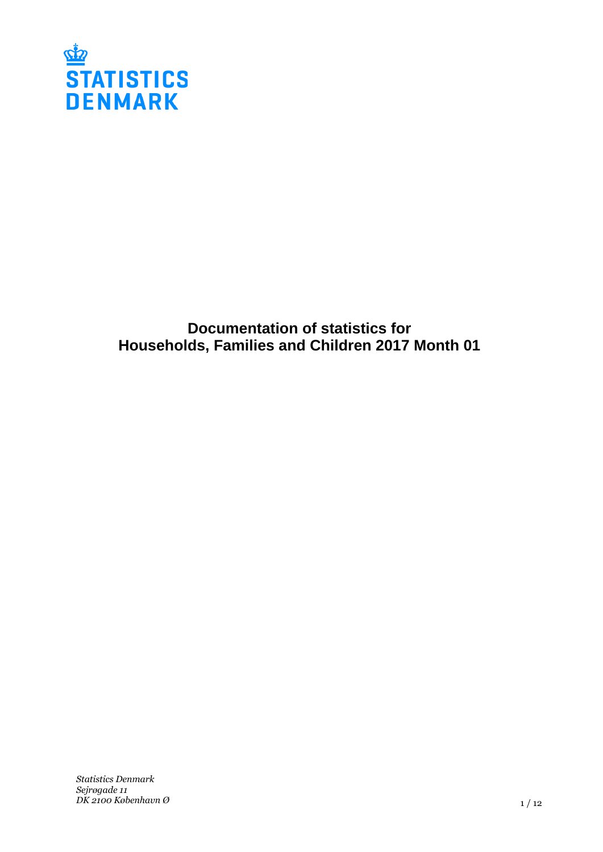

# **Documentation of statistics for Households, Families and Children 2017 Month 01**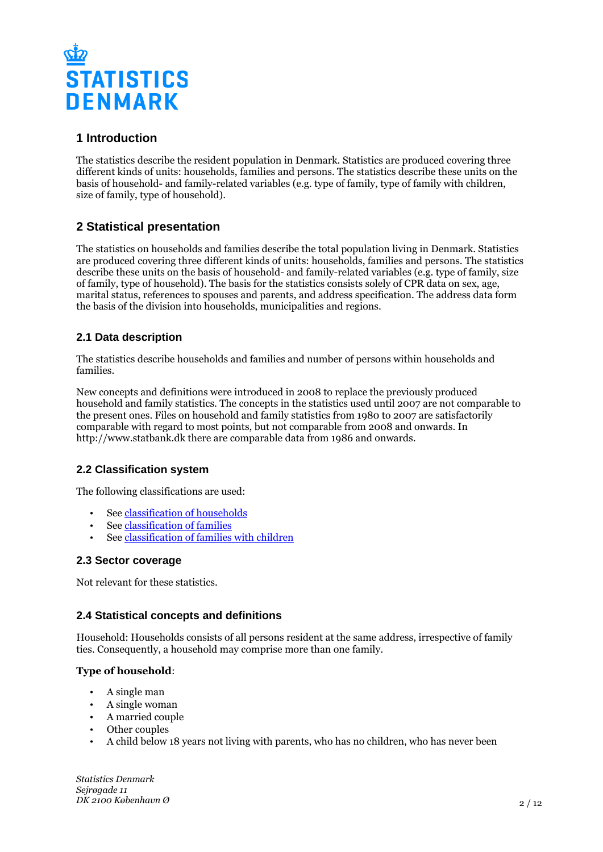

## **1 Introduction**

The statistics describe the resident population in Denmark. Statistics are produced covering three different kinds of units: households, families and persons. The statistics describe these units on the basis of household- and family-related variables (e.g. type of family, type of family with children, size of family, type of household).

## **2 Statistical presentation**

The statistics on households and families describe the total population living in Denmark. Statistics are produced covering three different kinds of units: households, families and persons. The statistics describe these units on the basis of household- and family-related variables (e.g. type of family, size of family, type of household). The basis for the statistics consists solely of CPR data on sex, age, marital status, references to spouses and parents, and address specification. The address data form the basis of the division into households, municipalities and regions.

#### **2.1 Data description**

The statistics describe households and families and number of persons within households and families.

New concepts and definitions were introduced in 2008 to replace the previously produced household and family statistics. The concepts in the statistics used until 2007 are not comparable to the present ones. Files on household and family statistics from 1980 to 2007 are satisfactorily comparable with regard to most points, but not comparable from 2008 and onwards. In http://www.statbank.dk there are comparable data from 1986 and onwards.

#### **2.2 Classification system**

The following classifications are used:

- See [classification of households](http://www.statbank.dk/fam55N)
- See [classification of families](http://www.statbank.dk/fam44N)
- See [classification of families with children](http://www.statbank.dk/brn12)

#### **2.3 Sector coverage**

Not relevant for these statistics.

#### **2.4 Statistical concepts and definitions**

Household: Households consists of all persons resident at the same address, irrespective of family ties. Consequently, a household may comprise more than one family.

#### **Type of household**:

- A single man
- A single woman
- A married couple
- Other couples
- A child below 18 years not living with parents, who has no children, who has never been

*Statistics Denmark Sejrøgade 11 DK 2100 København Ø*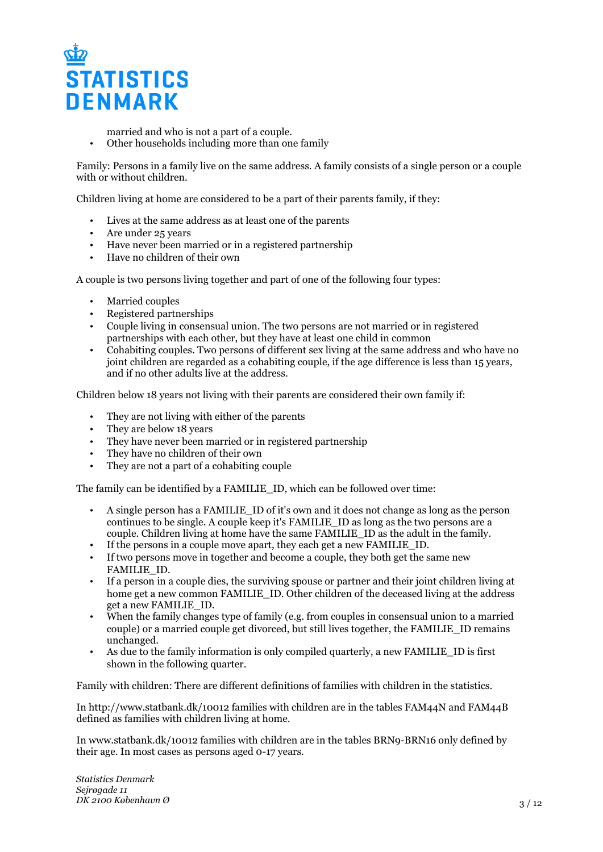

married and who is not a part of a couple.

Other households including more than one family

Family: Persons in a family live on the same address. A family consists of a single person or a couple with or without children.

Children living at home are considered to be a part of their parents family, if they:

- Lives at the same address as at least one of the parents
- Are under 25 years
- Have never been married or in a registered partnership
- Have no children of their own

A couple is two persons living together and part of one of the following four types:

- Married couples
- Registered partnerships
- Couple living in consensual union. The two persons are not married or in registered partnerships with each other, but they have at least one child in common
- Cohabiting couples. Two persons of different sex living at the same address and who have no joint children are regarded as a cohabiting couple, if the age difference is less than 15 years, and if no other adults live at the address.

Children below 18 years not living with their parents are considered their own family if:

- They are not living with either of the parents
- They are below 18 years
- They have never been married or in registered partnership
- They have no children of their own
- They are not a part of a cohabiting couple

The family can be identified by a FAMILIE ID, which can be followed over time:

- A single person has a FAMILIE\_ID of it's own and it does not change as long as the person continues to be single. A couple keep it's FAMILIE\_ID as long as the two persons are a couple. Children living at home have the same FAMILIE ID as the adult in the family.
- If the persons in a couple move apart, they each get a new FAMILIE\_ID.
- If two persons move in together and become a couple, they both get the same new FAMILIE\_ID.
- If a person in a couple dies, the surviving spouse or partner and their joint children living at home get a new common FAMILIE ID. Other children of the deceased living at the address get a new FAMILIE\_ID.
- When the family changes type of family (e.g. from couples in consensual union to a married couple) or a married couple get divorced, but still lives together, the FAMILIE\_ID remains unchanged.
- As due to the family information is only compiled quarterly, a new FAMILIE\_ID is first shown in the following quarter.

Family with children: There are different definitions of families with children in the statistics.

In http://www.statbank.dk/10012 families with children are in the tables FAM44N and FAM44B defined as families with children living at home.

In www.statbank.dk/10012 families with children are in the tables BRN9-BRN16 only defined by their age. In most cases as persons aged 0-17 years.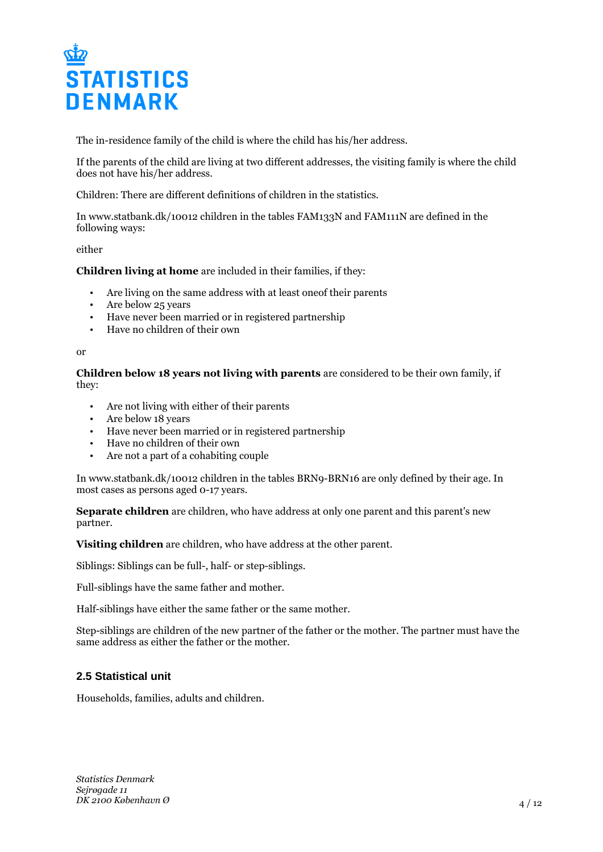

The in-residence family of the child is where the child has his/her address.

If the parents of the child are living at two different addresses, the visiting family is where the child does not have his/her address.

Children: There are different definitions of children in the statistics.

In www.statbank.dk/10012 children in the tables FAM133N and FAM111N are defined in the following ways:

either

**Children living at home** are included in their families, if they:

- Are living on the same address with at least oneof their parents
- Are below 25 years
- Have never been married or in registered partnership
- Have no children of their own

#### or

**Children below 18 years not living with parents** are considered to be their own family, if they:

- Are not living with either of their parents
- Are below 18 years
- Have never been married or in registered partnership
- Have no children of their own
- Are not a part of a cohabiting couple

In www.statbank.dk/10012 children in the tables BRN9-BRN16 are only defined by their age. In most cases as persons aged 0-17 years.

**Separate children** are children, who have address at only one parent and this parent's new partner.

**Visiting children** are children, who have address at the other parent.

Siblings: Siblings can be full-, half- or step-siblings.

Full-siblings have the same father and mother.

Half-siblings have either the same father or the same mother.

Step-siblings are children of the new partner of the father or the mother. The partner must have the same address as either the father or the mother.

#### **2.5 Statistical unit**

Households, families, adults and children.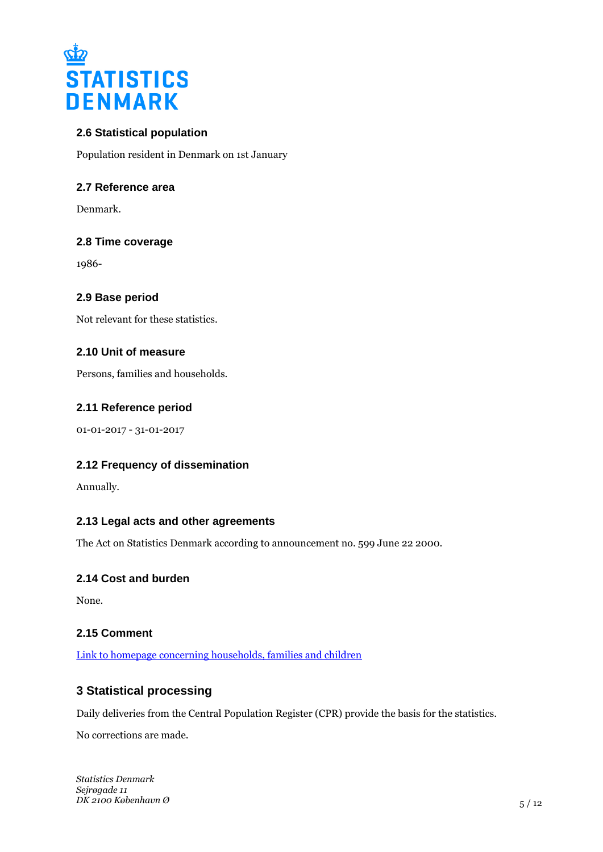

## **2.6 Statistical population**

Population resident in Denmark on 1st January

#### **2.7 Reference area**

Denmark.

## **2.8 Time coverage**

1986-

#### **2.9 Base period**

Not relevant for these statistics.

## **2.10 Unit of measure**

Persons, families and households.

## **2.11 Reference period**

01-01-2017 - 31-01-2017

## **2.12 Frequency of dissemination**

Annually.

#### **2.13 Legal acts and other agreements**

The Act on Statistics Denmark according to announcement no. 599 June 22 2000.

## **2.14 Cost and burden**

None.

## **2.15 Comment**

[Link to homepage concerning households, families and children](https://www.dst.dk/en/Statistik/Publikationer/gennemsnitsdanskeren)

## **3 Statistical processing**

Daily deliveries from the Central Population Register (CPR) provide the basis for the statistics.

No corrections are made.

*Statistics Denmark Sejrøgade 11 DK 2100 København Ø*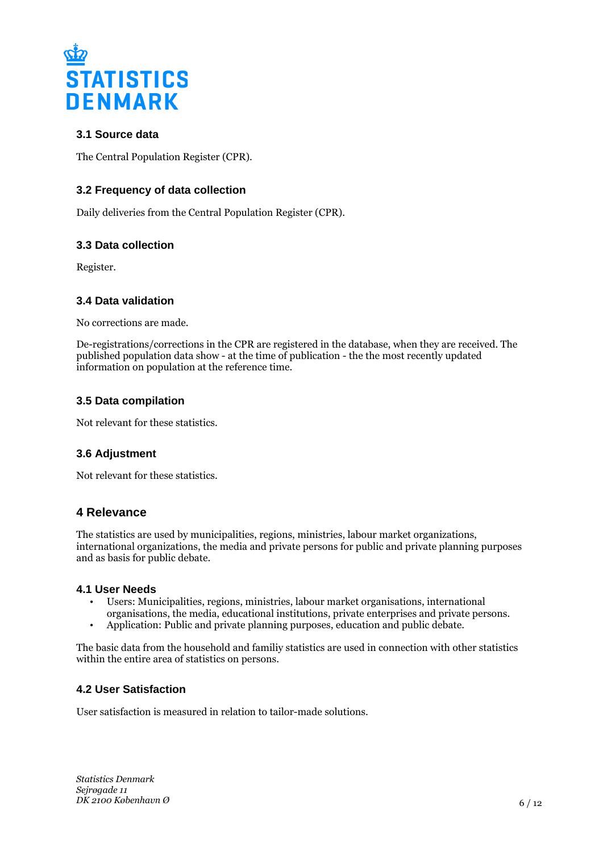

## **3.1 Source data**

The Central Population Register (CPR).

#### **3.2 Frequency of data collection**

Daily deliveries from the Central Population Register (CPR).

#### **3.3 Data collection**

Register.

#### **3.4 Data validation**

No corrections are made.

De-registrations/corrections in the CPR are registered in the database, when they are received. The published population data show - at the time of publication - the the most recently updated information on population at the reference time.

#### **3.5 Data compilation**

Not relevant for these statistics.

#### **3.6 Adjustment**

Not relevant for these statistics.

#### **4 Relevance**

The statistics are used by municipalities, regions, ministries, labour market organizations, international organizations, the media and private persons for public and private planning purposes and as basis for public debate.

#### **4.1 User Needs**

- Users: Municipalities, regions, ministries, labour market organisations, international organisations, the media, educational institutions, private enterprises and private persons.
- Application: Public and private planning purposes, education and public debate.

The basic data from the household and familiy statistics are used in connection with other statistics within the entire area of statistics on persons.

#### **4.2 User Satisfaction**

User satisfaction is measured in relation to tailor-made solutions.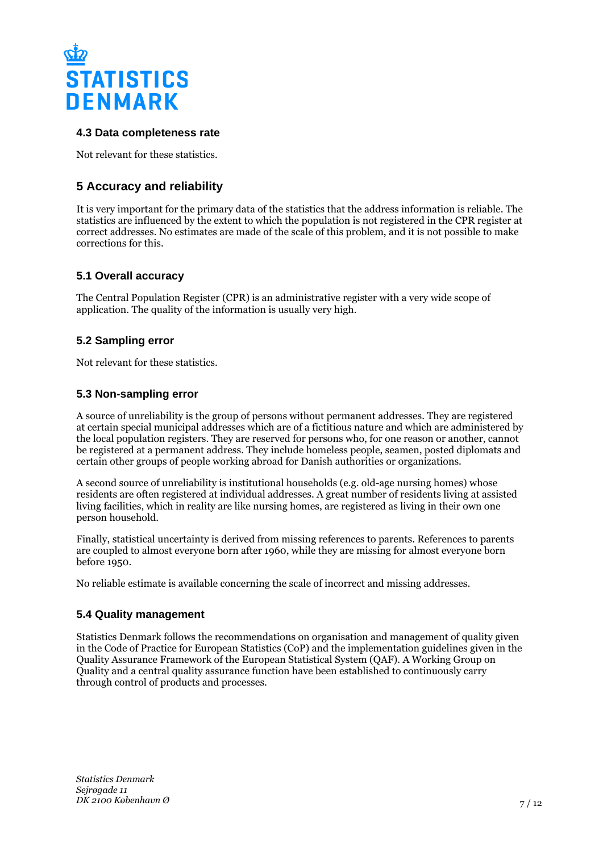

#### **4.3 Data completeness rate**

Not relevant for these statistics.

## **5 Accuracy and reliability**

It is very important for the primary data of the statistics that the address information is reliable. The statistics are influenced by the extent to which the population is not registered in the CPR register at correct addresses. No estimates are made of the scale of this problem, and it is not possible to make corrections for this.

#### **5.1 Overall accuracy**

The Central Population Register (CPR) is an administrative register with a very wide scope of application. The quality of the information is usually very high.

## **5.2 Sampling error**

Not relevant for these statistics.

#### **5.3 Non-sampling error**

A source of unreliability is the group of persons without permanent addresses. They are registered at certain special municipal addresses which are of a fictitious nature and which are administered by the local population registers. They are reserved for persons who, for one reason or another, cannot be registered at a permanent address. They include homeless people, seamen, posted diplomats and certain other groups of people working abroad for Danish authorities or organizations.

A second source of unreliability is institutional households (e.g. old-age nursing homes) whose residents are often registered at individual addresses. A great number of residents living at assisted living facilities, which in reality are like nursing homes, are registered as living in their own one person household.

Finally, statistical uncertainty is derived from missing references to parents. References to parents are coupled to almost everyone born after 1960, while they are missing for almost everyone born before 1950.

No reliable estimate is available concerning the scale of incorrect and missing addresses.

#### **5.4 Quality management**

Statistics Denmark follows the recommendations on organisation and management of quality given in the Code of Practice for European Statistics (CoP) and the implementation guidelines given in the Quality Assurance Framework of the European Statistical System (QAF). A Working Group on Quality and a central quality assurance function have been established to continuously carry through control of products and processes.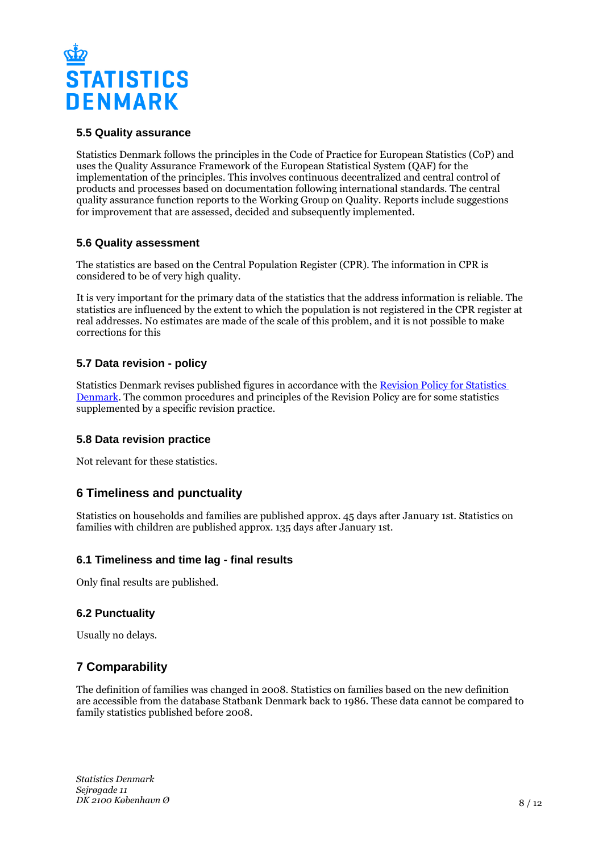

#### **5.5 Quality assurance**

Statistics Denmark follows the principles in the Code of Practice for European Statistics (CoP) and uses the Quality Assurance Framework of the European Statistical System (QAF) for the implementation of the principles. This involves continuous decentralized and central control of products and processes based on documentation following international standards. The central quality assurance function reports to the Working Group on Quality. Reports include suggestions for improvement that are assessed, decided and subsequently implemented.

#### **5.6 Quality assessment**

The statistics are based on the Central Population Register (CPR). The information in CPR is considered to be of very high quality.

It is very important for the primary data of the statistics that the address information is reliable. The statistics are influenced by the extent to which the population is not registered in the CPR register at real addresses. No estimates are made of the scale of this problem, and it is not possible to make corrections for this

#### **5.7 Data revision - policy**

Statistics Denmark revises published figures in accordance with the [Revision Policy for Statistics](https://www.dst.dk/en/OmDS/strategi-og-kvalitet/revisionspolitik.aspx)  [Denmark.](https://www.dst.dk/en/OmDS/strategi-og-kvalitet/revisionspolitik.aspx) The common procedures and principles of the Revision Policy are for some statistics supplemented by a specific revision practice.

#### **5.8 Data revision practice**

Not relevant for these statistics.

#### **6 Timeliness and punctuality**

Statistics on households and families are published approx. 45 days after January 1st. Statistics on families with children are published approx. 135 days after January 1st.

#### **6.1 Timeliness and time lag - final results**

Only final results are published.

#### **6.2 Punctuality**

Usually no delays.

## **7 Comparability**

The definition of families was changed in 2008. Statistics on families based on the new definition are accessible from the database Statbank Denmark back to 1986. These data cannot be compared to family statistics published before 2008.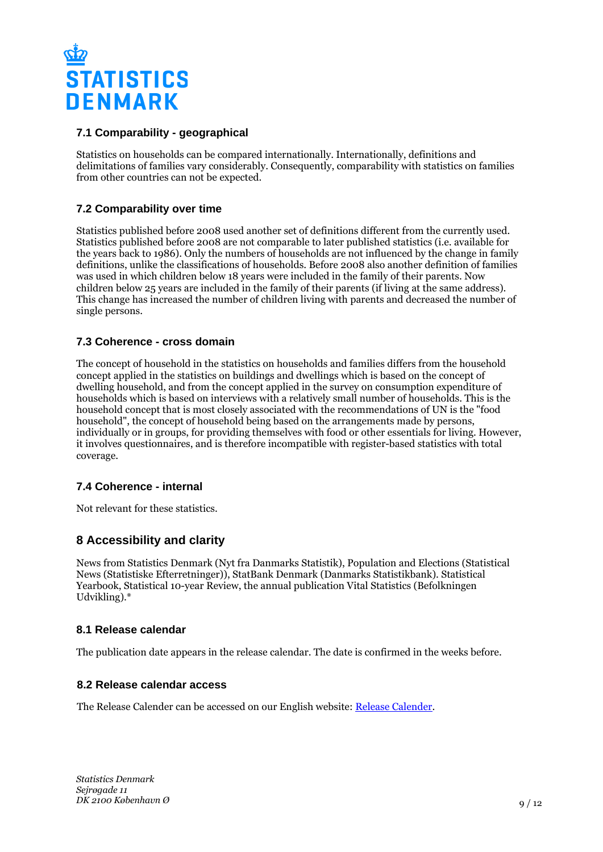

## **7.1 Comparability - geographical**

Statistics on households can be compared internationally. Internationally, definitions and delimitations of families vary considerably. Consequently, comparability with statistics on families from other countries can not be expected.

## **7.2 Comparability over time**

Statistics published before 2008 used another set of definitions different from the currently used. Statistics published before 2008 are not comparable to later published statistics (i.e. available for the years back to 1986). Only the numbers of households are not influenced by the change in family definitions, unlike the classifications of households. Before 2008 also another definition of families was used in which children below 18 years were included in the family of their parents. Now children below 25 years are included in the family of their parents (if living at the same address). This change has increased the number of children living with parents and decreased the number of single persons.

#### **7.3 Coherence - cross domain**

The concept of household in the statistics on households and families differs from the household concept applied in the statistics on buildings and dwellings which is based on the concept of dwelling household, and from the concept applied in the survey on consumption expenditure of households which is based on interviews with a relatively small number of households. This is the household concept that is most closely associated with the recommendations of UN is the "food household", the concept of household being based on the arrangements made by persons, individually or in groups, for providing themselves with food or other essentials for living. However, it involves questionnaires, and is therefore incompatible with register-based statistics with total coverage.

#### **7.4 Coherence - internal**

Not relevant for these statistics.

## **8 Accessibility and clarity**

News from Statistics Denmark (Nyt fra Danmarks Statistik), Population and Elections (Statistical News (Statistiske Efterretninger)), StatBank Denmark (Danmarks Statistikbank). Statistical Yearbook, Statistical 10-year Review, the annual publication Vital Statistics (Befolkningen Udvikling).\*

#### **8.1 Release calendar**

The publication date appears in the release calendar. The date is confirmed in the weeks before.

#### **8.2 Release calendar access**

The Release Calender can be accessed on our English website: [Release Calender.](https://www.dst.dk/en/Statistik/offentliggoerelser.aspx)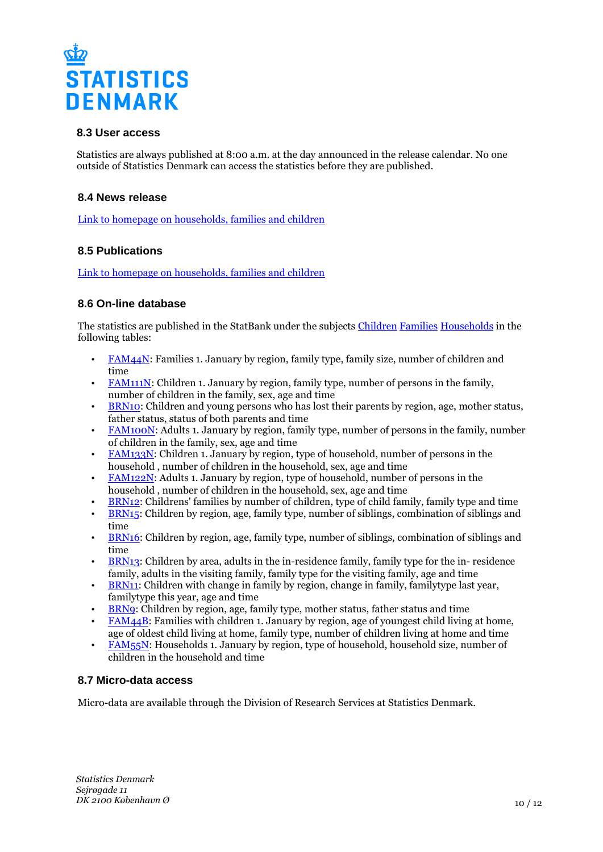

#### **8.3 User access**

Statistics are always published at 8:00 a.m. at the day announced in the release calendar. No one outside of Statistics Denmark can access the statistics before they are published.

#### **8.4 News release**

[Link to homepage on households, families and children](https://www.dst.dk/en/Statistik/Publikationer/gennemsnitsdanskeren)

#### **8.5 Publications**

[Link to homepage on households, families and children](https://www.dst.dk/en/Statistik/Publikationer/gennemsnitsdanskeren)

#### **8.6 On-line database**

The statistics are published in the StatBank under the subjects [Children](http://www.statbank.dk/10012) [Families](http://www.statbank.dk/10011) [Households](http://www.statbank.dk/10010) in the following tables:

- [FAM44N:](http://www.statbank.dk/FAM44N) Families 1. January by region, family type, family size, number of children and time
- [FAM111N](http://www.statbank.dk/FAM111N): Children 1. January by region, family type, number of persons in the family, number of children in the family, sex, age and time
- BRN<sub>10</sub>: Children and young persons who has lost their parents by region, age, mother status, father status, status of both parents and time
- [FAM100N](http://www.statbank.dk/FAM100N): Adults 1. January by region, family type, number of persons in the family, number of children in the family, sex, age and time
- [FAM133N:](http://www.statbank.dk/FAM133N) Children 1. January by region, type of household, number of persons in the household , number of children in the household, sex, age and time
- [FAM122N](http://www.statbank.dk/FAM122N): Adults 1. January by region, type of household, number of persons in the household , number of children in the household, sex, age and time
- [BRN12:](http://www.statbank.dk/BRN12) Childrens' families by number of children, type of child family, family type and time
- [BRN15:](http://www.statbank.dk/BRN15) Children by region, age, family type, number of siblings, combination of siblings and time
- [BRN16](http://www.statbank.dk/BRN16): Children by region, age, family type, number of siblings, combination of siblings and time
- [BRN13:](http://www.statbank.dk/BRN13) Children by area, adults in the in-residence family, family type for the in- residence family, adults in the visiting family, family type for the visiting family, age and time
- [BRN11:](http://www.statbank.dk/BRN11) Children with change in family by region, change in family, familytype last year, familytype this year, age and time
- [BRN9:](http://www.statbank.dk/BRN9) Children by region, age, family type, mother status, father status and time
- [FAM44B:](http://www.statbank.dk/FAM44B) Families with children 1. January by region, age of youngest child living at home, age of oldest child living at home, family type, number of children living at home and time
- [FAM55N](http://www.statbank.dk/FAM55N): Households 1. January by region, type of household, household size, number of children in the household and time

#### **8.7 Micro-data access**

Micro-data are available through the Division of Research Services at Statistics Denmark.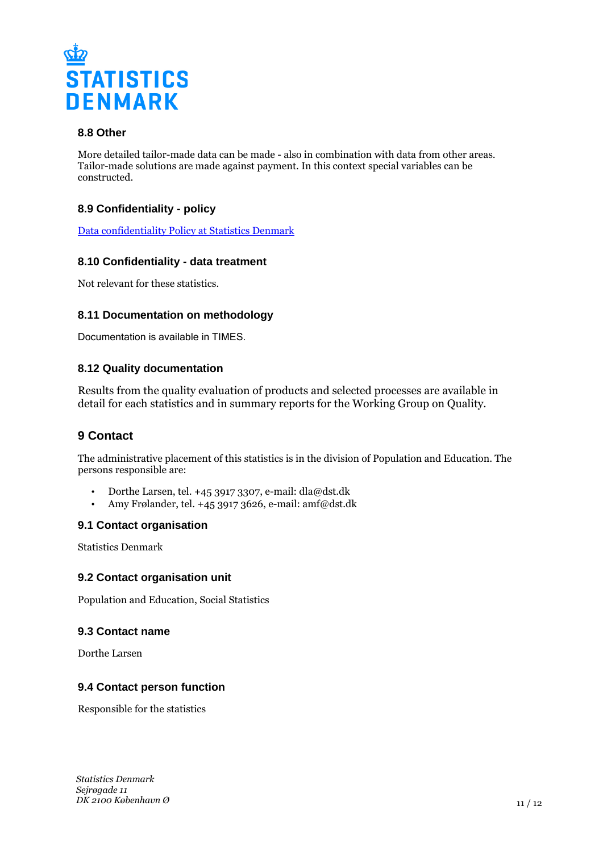

#### **8.8 Other**

More detailed tailor-made data can be made - also in combination with data from other areas. Tailor-made solutions are made against payment. In this context special variables can be constructed.

#### **8.9 Confidentiality - policy**

[Data confidentiality Policy at Statistics Denmark](https://www.dst.dk/ext/502998790/0/formid/Data-Confidentiality-Policy-at-Statistics-Denmark--pdf)

#### **8.10 Confidentiality - data treatment**

Not relevant for these statistics.

#### **8.11 Documentation on methodology**

Documentation is available in TIMES.

#### **8.12 Quality documentation**

Results from the quality evaluation of products and selected processes are available in detail for each statistics and in summary reports for the Working Group on Quality.

## **9 Contact**

The administrative placement of this statistics is in the division of Population and Education. The persons responsible are:

- Dorthe Larsen, tel. +45 3917 3307, e-mail: dla@dst.dk
- Amy Frølander, tel. +45 3917 3626, e-mail: amf@dst.dk

#### **9.1 Contact organisation**

Statistics Denmark

#### **9.2 Contact organisation unit**

Population and Education, Social Statistics

#### **9.3 Contact name**

Dorthe Larsen

#### **9.4 Contact person function**

Responsible for the statistics